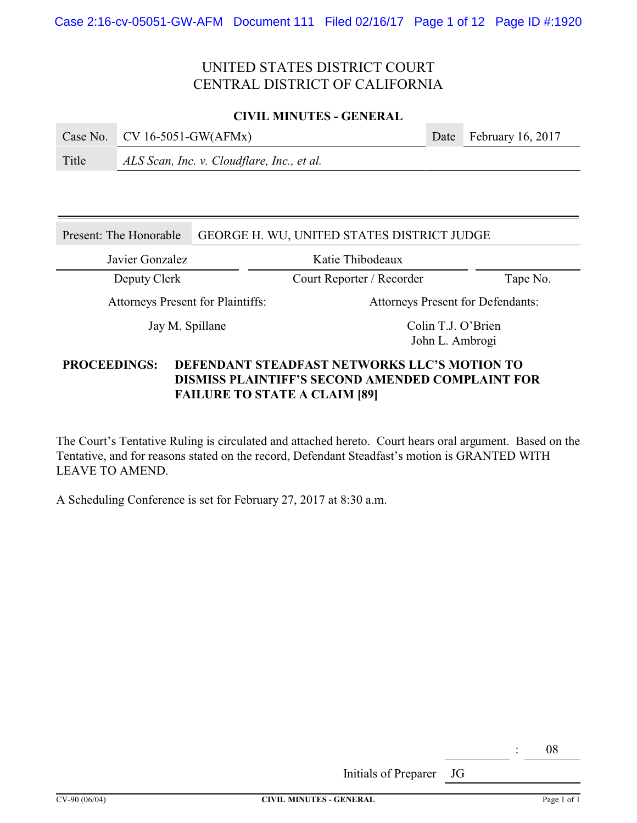# UNITED STATES DISTRICT COURT CENTRAL DISTRICT OF CALIFORNIA

# **CIVIL MINUTES - GENERAL**

|       | Case No. $CV 16-5051-GW(AFMx)$             | Date February 16, 2017 |
|-------|--------------------------------------------|------------------------|
| Title | ALS Scan, Inc. v. Cloudflare, Inc., et al. |                        |
|       |                                            |                        |

# Present: The Honorable GEORGE H. WU, UNITED STATES DISTRICT JUDGE

Javier Gonzalez Katie Thibodeaux

Deputy Clerk Court Reporter / Recorder Tape No.

Attorneys Present for Plaintiffs: Attorneys Present for Defendants:

Jay M. Spillane Colin T.J. O'Brien John L. Ambrogi

# **PROCEEDINGS: DEFENDANT STEADFAST NETWORKS LLC'S MOTION TO DISMISS PLAINTIFF'S SECOND AMENDED COMPLAINT FOR FAILURE TO STATE A CLAIM [89]**

The Court's Tentative Ruling is circulated and attached hereto. Court hears oral argument. Based on the Tentative, and for reasons stated on the record, Defendant Steadfast's motion is GRANTED WITH LEAVE TO AMEND.

A Scheduling Conference is set for February 27, 2017 at 8:30 a.m.

: 08

Initials of Preparer JG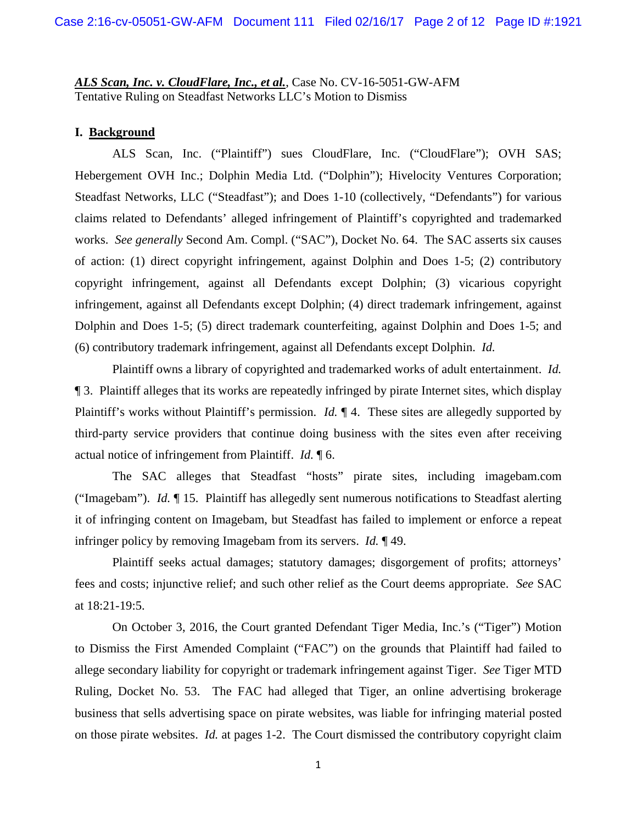# *ALS Scan, Inc. v. CloudFlare, Inc., et al.*, Case No. CV-16-5051-GW-AFM Tentative Ruling on Steadfast Networks LLC's Motion to Dismiss

#### **I. Background**

 ALS Scan, Inc. ("Plaintiff") sues CloudFlare, Inc. ("CloudFlare"); OVH SAS; Hebergement OVH Inc.; Dolphin Media Ltd. ("Dolphin"); Hivelocity Ventures Corporation; Steadfast Networks, LLC ("Steadfast"); and Does 1-10 (collectively, "Defendants") for various claims related to Defendants' alleged infringement of Plaintiff's copyrighted and trademarked works. *See generally* Second Am. Compl. ("SAC"), Docket No. 64. The SAC asserts six causes of action: (1) direct copyright infringement, against Dolphin and Does 1-5; (2) contributory copyright infringement, against all Defendants except Dolphin; (3) vicarious copyright infringement, against all Defendants except Dolphin; (4) direct trademark infringement, against Dolphin and Does 1-5; (5) direct trademark counterfeiting, against Dolphin and Does 1-5; and (6) contributory trademark infringement, against all Defendants except Dolphin. *Id.*

Plaintiff owns a library of copyrighted and trademarked works of adult entertainment. *Id.* ¶ 3. Plaintiff alleges that its works are repeatedly infringed by pirate Internet sites, which display Plaintiff's works without Plaintiff's permission. *Id.* ¶ 4. These sites are allegedly supported by third-party service providers that continue doing business with the sites even after receiving actual notice of infringement from Plaintiff. *Id.* ¶ 6.

The SAC alleges that Steadfast "hosts" pirate sites, including imagebam.com ("Imagebam"). *Id.* ¶ 15. Plaintiff has allegedly sent numerous notifications to Steadfast alerting it of infringing content on Imagebam, but Steadfast has failed to implement or enforce a repeat infringer policy by removing Imagebam from its servers. *Id.* ¶ 49.

Plaintiff seeks actual damages; statutory damages; disgorgement of profits; attorneys' fees and costs; injunctive relief; and such other relief as the Court deems appropriate. *See* SAC at 18:21-19:5.

On October 3, 2016, the Court granted Defendant Tiger Media, Inc.'s ("Tiger") Motion to Dismiss the First Amended Complaint ("FAC") on the grounds that Plaintiff had failed to allege secondary liability for copyright or trademark infringement against Tiger. *See* Tiger MTD Ruling, Docket No. 53. The FAC had alleged that Tiger, an online advertising brokerage business that sells advertising space on pirate websites, was liable for infringing material posted on those pirate websites. *Id.* at pages 1-2. The Court dismissed the contributory copyright claim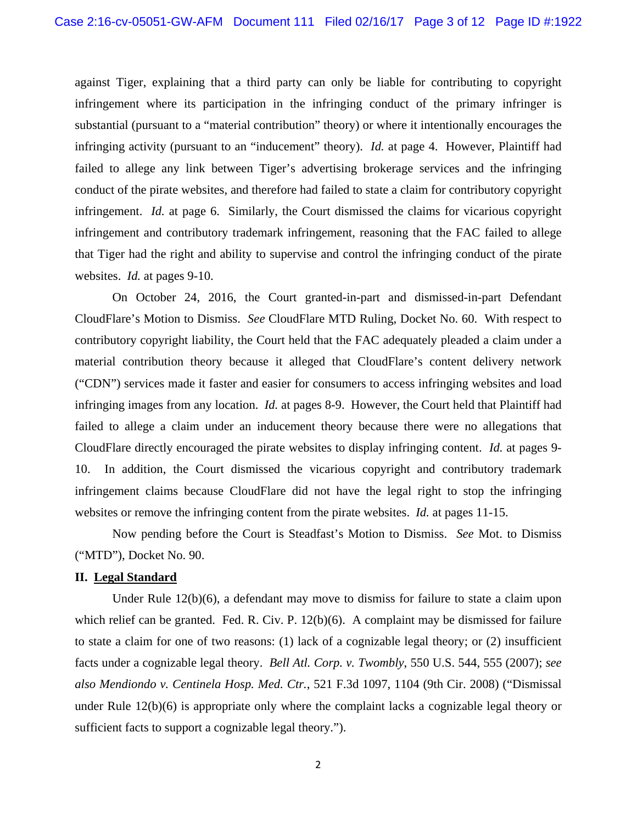against Tiger, explaining that a third party can only be liable for contributing to copyright infringement where its participation in the infringing conduct of the primary infringer is substantial (pursuant to a "material contribution" theory) or where it intentionally encourages the infringing activity (pursuant to an "inducement" theory). *Id.* at page 4. However, Plaintiff had failed to allege any link between Tiger's advertising brokerage services and the infringing conduct of the pirate websites, and therefore had failed to state a claim for contributory copyright infringement. *Id.* at page 6. Similarly, the Court dismissed the claims for vicarious copyright infringement and contributory trademark infringement, reasoning that the FAC failed to allege that Tiger had the right and ability to supervise and control the infringing conduct of the pirate websites. *Id.* at pages 9-10.

On October 24, 2016, the Court granted-in-part and dismissed-in-part Defendant CloudFlare's Motion to Dismiss. *See* CloudFlare MTD Ruling, Docket No. 60. With respect to contributory copyright liability, the Court held that the FAC adequately pleaded a claim under a material contribution theory because it alleged that CloudFlare's content delivery network ("CDN") services made it faster and easier for consumers to access infringing websites and load infringing images from any location. *Id.* at pages 8-9. However, the Court held that Plaintiff had failed to allege a claim under an inducement theory because there were no allegations that CloudFlare directly encouraged the pirate websites to display infringing content. *Id.* at pages 9- 10. In addition, the Court dismissed the vicarious copyright and contributory trademark infringement claims because CloudFlare did not have the legal right to stop the infringing websites or remove the infringing content from the pirate websites. *Id.* at pages 11-15.

Now pending before the Court is Steadfast's Motion to Dismiss. *See* Mot. to Dismiss ("MTD"), Docket No. 90.

# **II. Legal Standard**

Under Rule 12(b)(6), a defendant may move to dismiss for failure to state a claim upon which relief can be granted. Fed. R. Civ. P. 12(b)(6). A complaint may be dismissed for failure to state a claim for one of two reasons: (1) lack of a cognizable legal theory; or (2) insufficient facts under a cognizable legal theory. *Bell Atl. Corp. v. Twombly*, 550 U.S. 544, 555 (2007); *see also Mendiondo v. Centinela Hosp. Med. Ctr.*, 521 F.3d 1097, 1104 (9th Cir. 2008) ("Dismissal under Rule 12(b)(6) is appropriate only where the complaint lacks a cognizable legal theory or sufficient facts to support a cognizable legal theory.").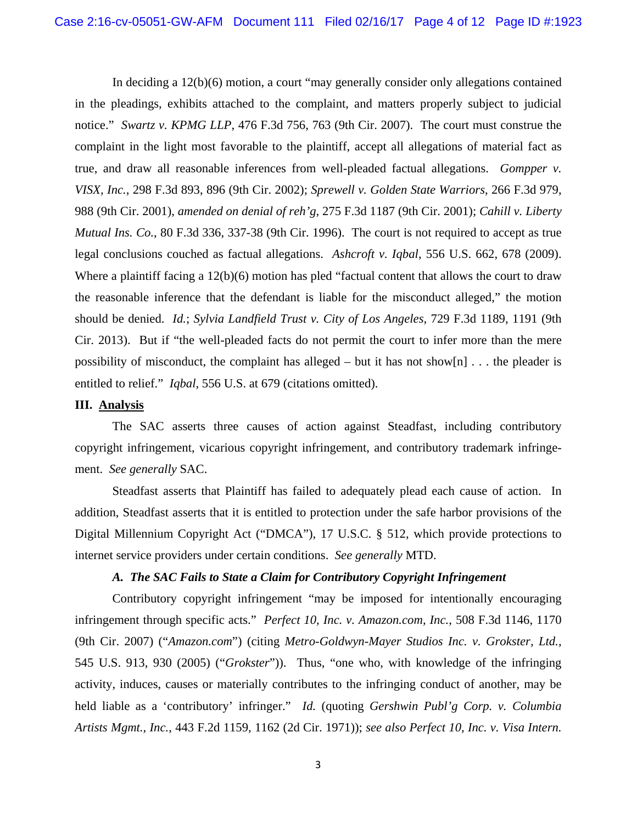In deciding a 12(b)(6) motion, a court "may generally consider only allegations contained in the pleadings, exhibits attached to the complaint, and matters properly subject to judicial notice." *Swartz v. KPMG LLP*, 476 F.3d 756, 763 (9th Cir. 2007). The court must construe the complaint in the light most favorable to the plaintiff, accept all allegations of material fact as true, and draw all reasonable inferences from well-pleaded factual allegations. *Gompper v. VISX, Inc.*, 298 F.3d 893, 896 (9th Cir. 2002); *Sprewell v. Golden State Warriors*, 266 F.3d 979, 988 (9th Cir. 2001), *amended on denial of reh'g*, 275 F.3d 1187 (9th Cir. 2001); *Cahill v. Liberty Mutual Ins. Co.*, 80 F.3d 336, 337-38 (9th Cir. 1996). The court is not required to accept as true legal conclusions couched as factual allegations. *Ashcroft v. Iqbal*, 556 U.S. 662, 678 (2009). Where a plaintiff facing a 12(b)(6) motion has pled "factual content that allows the court to draw the reasonable inference that the defendant is liable for the misconduct alleged," the motion should be denied. *Id.*; *Sylvia Landfield Trust v. City of Los Angeles*, 729 F.3d 1189, 1191 (9th Cir. 2013). But if "the well-pleaded facts do not permit the court to infer more than the mere possibility of misconduct, the complaint has alleged – but it has not show $[n]$ ... the pleader is entitled to relief." *Iqbal*, 556 U.S. at 679 (citations omitted).

#### **III. Analysis**

 The SAC asserts three causes of action against Steadfast, including contributory copyright infringement, vicarious copyright infringement, and contributory trademark infringement. *See generally* SAC.

Steadfast asserts that Plaintiff has failed to adequately plead each cause of action. In addition, Steadfast asserts that it is entitled to protection under the safe harbor provisions of the Digital Millennium Copyright Act ("DMCA"), 17 U.S.C. § 512, which provide protections to internet service providers under certain conditions. *See generally* MTD.

# *A. The SAC Fails to State a Claim for Contributory Copyright Infringement*

Contributory copyright infringement "may be imposed for intentionally encouraging infringement through specific acts." *Perfect 10, Inc. v. Amazon.com, Inc.*, 508 F.3d 1146, 1170 (9th Cir. 2007) ("*Amazon.com*") (citing *Metro-Goldwyn-Mayer Studios Inc. v. Grokster, Ltd.*, 545 U.S. 913, 930 (2005) ("*Grokster*")). Thus, "one who, with knowledge of the infringing activity, induces, causes or materially contributes to the infringing conduct of another, may be held liable as a 'contributory' infringer." *Id.* (quoting *Gershwin Publ'g Corp. v. Columbia Artists Mgmt., Inc.*, 443 F.2d 1159, 1162 (2d Cir. 1971)); *see also Perfect 10, Inc. v. Visa Intern.*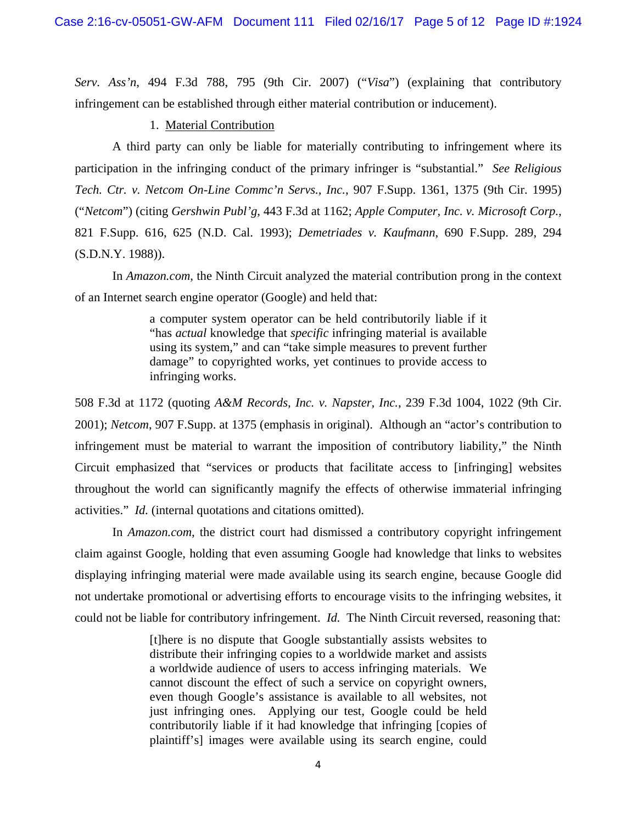*Serv. Ass'n*, 494 F.3d 788, 795 (9th Cir. 2007) ("*Visa*") (explaining that contributory infringement can be established through either material contribution or inducement).

#### 1. Material Contribution

A third party can only be liable for materially contributing to infringement where its participation in the infringing conduct of the primary infringer is "substantial." *See Religious Tech. Ctr. v. Netcom On-Line Commc'n Servs., Inc.*, 907 F.Supp. 1361, 1375 (9th Cir. 1995) ("*Netcom*") (citing *Gershwin Publ'g*, 443 F.3d at 1162; *Apple Computer, Inc. v. Microsoft Corp.*, 821 F.Supp. 616, 625 (N.D. Cal. 1993); *Demetriades v. Kaufmann*, 690 F.Supp. 289, 294 (S.D.N.Y. 1988)).

In *Amazon.com*, the Ninth Circuit analyzed the material contribution prong in the context of an Internet search engine operator (Google) and held that:

> a computer system operator can be held contributorily liable if it "has *actual* knowledge that *specific* infringing material is available using its system," and can "take simple measures to prevent further damage" to copyrighted works, yet continues to provide access to infringing works.

508 F.3d at 1172 (quoting *A&M Records, Inc. v. Napster, Inc.*, 239 F.3d 1004, 1022 (9th Cir. 2001); *Netcom*, 907 F.Supp. at 1375 (emphasis in original).Although an "actor's contribution to infringement must be material to warrant the imposition of contributory liability," the Ninth Circuit emphasized that "services or products that facilitate access to [infringing] websites throughout the world can significantly magnify the effects of otherwise immaterial infringing activities." *Id.* (internal quotations and citations omitted).

In *Amazon.com*, the district court had dismissed a contributory copyright infringement claim against Google, holding that even assuming Google had knowledge that links to websites displaying infringing material were made available using its search engine, because Google did not undertake promotional or advertising efforts to encourage visits to the infringing websites, it could not be liable for contributory infringement. *Id.* The Ninth Circuit reversed, reasoning that:

> [t]here is no dispute that Google substantially assists websites to distribute their infringing copies to a worldwide market and assists a worldwide audience of users to access infringing materials. We cannot discount the effect of such a service on copyright owners, even though Google's assistance is available to all websites, not just infringing ones. Applying our test, Google could be held contributorily liable if it had knowledge that infringing [copies of plaintiff's] images were available using its search engine, could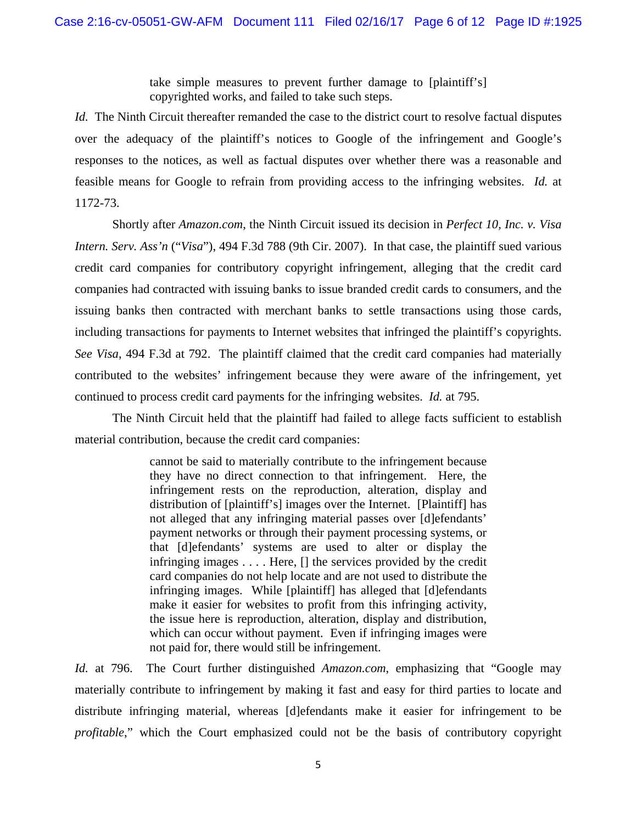take simple measures to prevent further damage to [plaintiff's] copyrighted works, and failed to take such steps.

*Id.* The Ninth Circuit thereafter remanded the case to the district court to resolve factual disputes over the adequacy of the plaintiff's notices to Google of the infringement and Google's responses to the notices, as well as factual disputes over whether there was a reasonable and feasible means for Google to refrain from providing access to the infringing websites. *Id.* at 1172-73.

 Shortly after *Amazon.com*, the Ninth Circuit issued its decision in *Perfect 10, Inc. v. Visa Intern. Serv. Ass'n* ("*Visa*"), 494 F.3d 788 (9th Cir. 2007). In that case, the plaintiff sued various credit card companies for contributory copyright infringement, alleging that the credit card companies had contracted with issuing banks to issue branded credit cards to consumers, and the issuing banks then contracted with merchant banks to settle transactions using those cards, including transactions for payments to Internet websites that infringed the plaintiff's copyrights. *See Visa*, 494 F.3d at 792. The plaintiff claimed that the credit card companies had materially contributed to the websites' infringement because they were aware of the infringement, yet continued to process credit card payments for the infringing websites. *Id.* at 795.

The Ninth Circuit held that the plaintiff had failed to allege facts sufficient to establish material contribution, because the credit card companies:

> cannot be said to materially contribute to the infringement because they have no direct connection to that infringement. Here, the infringement rests on the reproduction, alteration, display and distribution of [plaintiff's] images over the Internet. [Plaintiff] has not alleged that any infringing material passes over [d]efendants' payment networks or through their payment processing systems, or that [d]efendants' systems are used to alter or display the infringing images . . . . Here, [] the services provided by the credit card companies do not help locate and are not used to distribute the infringing images. While [plaintiff] has alleged that [d]efendants make it easier for websites to profit from this infringing activity, the issue here is reproduction, alteration, display and distribution, which can occur without payment. Even if infringing images were not paid for, there would still be infringement.

*Id.* at 796. The Court further distinguished *Amazon.com*, emphasizing that "Google may materially contribute to infringement by making it fast and easy for third parties to locate and distribute infringing material, whereas [d]efendants make it easier for infringement to be *profitable*," which the Court emphasized could not be the basis of contributory copyright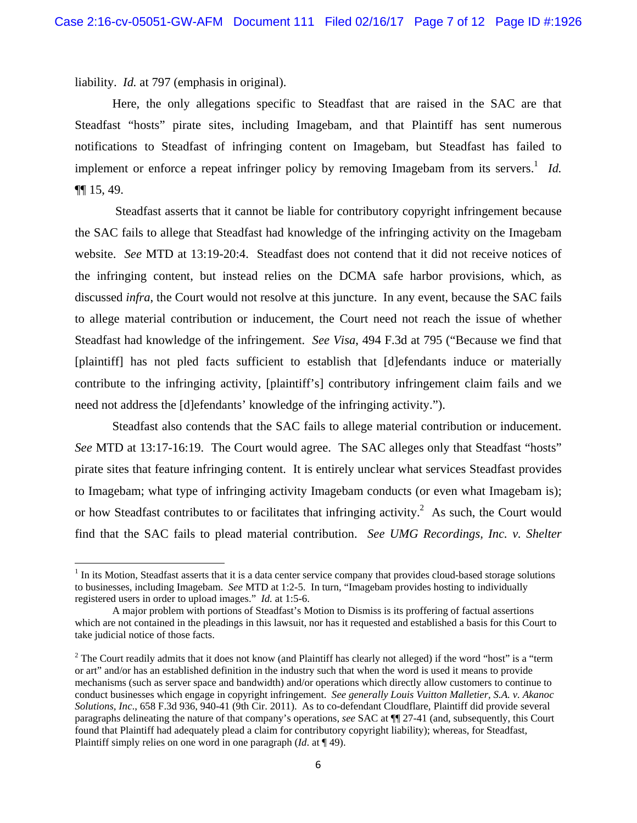liability. *Id.* at 797 (emphasis in original).

 Here, the only allegations specific to Steadfast that are raised in the SAC are that Steadfast "hosts" pirate sites, including Imagebam, and that Plaintiff has sent numerous notifications to Steadfast of infringing content on Imagebam, but Steadfast has failed to implement or enforce a repeat infringer policy by removing Imagebam from its servers.<sup>1</sup> Id. ¶¶ 15, 49.

 Steadfast asserts that it cannot be liable for contributory copyright infringement because the SAC fails to allege that Steadfast had knowledge of the infringing activity on the Imagebam website. *See* MTD at 13:19-20:4. Steadfast does not contend that it did not receive notices of the infringing content, but instead relies on the DCMA safe harbor provisions, which, as discussed *infra*, the Court would not resolve at this juncture. In any event, because the SAC fails to allege material contribution or inducement, the Court need not reach the issue of whether Steadfast had knowledge of the infringement. *See Visa*, 494 F.3d at 795 ("Because we find that [plaintiff] has not pled facts sufficient to establish that [d]efendants induce or materially contribute to the infringing activity, [plaintiff's] contributory infringement claim fails and we need not address the [d]efendants' knowledge of the infringing activity.").

 Steadfast also contends that the SAC fails to allege material contribution or inducement. *See* MTD at 13:17-16:19. The Court would agree. The SAC alleges only that Steadfast "hosts" pirate sites that feature infringing content. It is entirely unclear what services Steadfast provides to Imagebam; what type of infringing activity Imagebam conducts (or even what Imagebam is); or how Steadfast contributes to or facilitates that infringing activity.<sup>2</sup> As such, the Court would find that the SAC fails to plead material contribution. *See UMG Recordings, Inc. v. Shelter* 

<sup>&</sup>lt;sup>1</sup> In its Motion, Steadfast asserts that it is a data center service company that provides cloud-based storage solutions to businesses, including Imagebam. *See* MTD at 1:2-5. In turn, "Imagebam provides hosting to individually registered users in order to upload images." *Id.* at 1:5-6.

A major problem with portions of Steadfast's Motion to Dismiss is its proffering of factual assertions which are not contained in the pleadings in this lawsuit, nor has it requested and established a basis for this Court to take judicial notice of those facts.

<sup>&</sup>lt;sup>2</sup> The Court readily admits that it does not know (and Plaintiff has clearly not alleged) if the word "host" is a "term or art" and/or has an established definition in the industry such that when the word is used it means to provide mechanisms (such as server space and bandwidth) and/or operations which directly allow customers to continue to conduct businesses which engage in copyright infringement. *See generally Louis Vuitton Malletier, S.A. v. Akanoc Solutions, Inc*., 658 F.3d 936, 940-41 (9th Cir. 2011). As to co-defendant Cloudflare, Plaintiff did provide several paragraphs delineating the nature of that company's operations, *see* SAC at ¶¶ 27-41 (and, subsequently, this Court found that Plaintiff had adequately plead a claim for contributory copyright liability); whereas, for Steadfast, Plaintiff simply relies on one word in one paragraph (*Id*. at ¶ 49).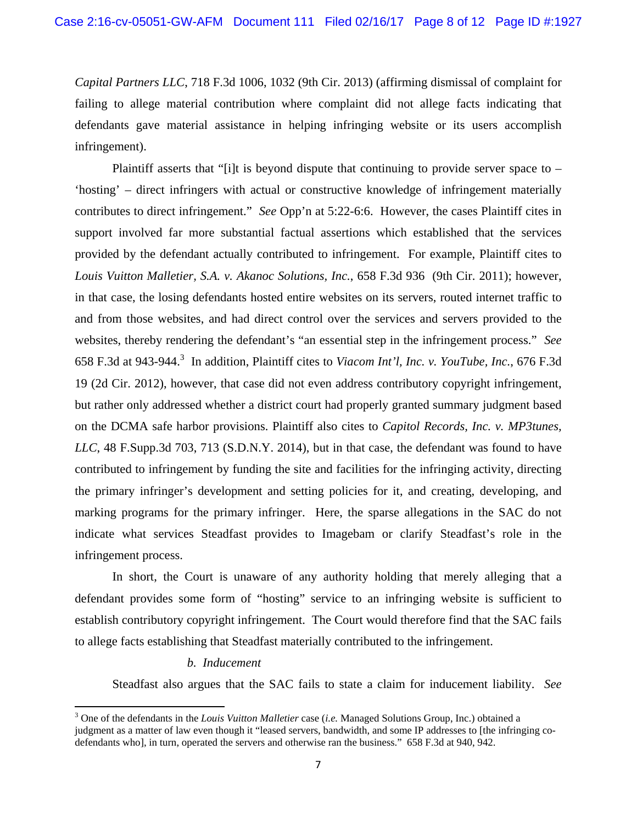*Capital Partners LLC*, 718 F.3d 1006, 1032 (9th Cir. 2013) (affirming dismissal of complaint for failing to allege material contribution where complaint did not allege facts indicating that defendants gave material assistance in helping infringing website or its users accomplish infringement).

 Plaintiff asserts that "[i]t is beyond dispute that continuing to provide server space to – 'hosting' – direct infringers with actual or constructive knowledge of infringement materially contributes to direct infringement." *See* Opp'n at 5:22-6:6. However, the cases Plaintiff cites in support involved far more substantial factual assertions which established that the services provided by the defendant actually contributed to infringement. For example, Plaintiff cites to *Louis Vuitton Malletier, S.A. v. Akanoc Solutions, Inc.*, 658 F.3d 936 (9th Cir. 2011); however, in that case, the losing defendants hosted entire websites on its servers, routed internet traffic to and from those websites, and had direct control over the services and servers provided to the websites, thereby rendering the defendant's "an essential step in the infringement process." *See*  658 F.3d at 943-944.<sup>3</sup> In addition, Plaintiff cites to *Viacom Int'l, Inc. v. YouTube, Inc.*, 676 F.3d 19 (2d Cir. 2012), however, that case did not even address contributory copyright infringement, but rather only addressed whether a district court had properly granted summary judgment based on the DCMA safe harbor provisions. Plaintiff also cites to *Capitol Records, Inc. v. MP3tunes, LLC*, 48 F.Supp.3d 703, 713 (S.D.N.Y. 2014), but in that case, the defendant was found to have contributed to infringement by funding the site and facilities for the infringing activity, directing the primary infringer's development and setting policies for it, and creating, developing, and marking programs for the primary infringer. Here, the sparse allegations in the SAC do not indicate what services Steadfast provides to Imagebam or clarify Steadfast's role in the infringement process.

 In short, the Court is unaware of any authority holding that merely alleging that a defendant provides some form of "hosting" service to an infringing website is sufficient to establish contributory copyright infringement. The Court would therefore find that the SAC fails to allege facts establishing that Steadfast materially contributed to the infringement.

# *b. Inducement*

Steadfast also argues that the SAC fails to state a claim for inducement liability. *See* 

<sup>3</sup> One of the defendants in the *Louis Vuitton Malletier* case (*i.e.* Managed Solutions Group, Inc.) obtained a judgment as a matter of law even though it "leased servers, bandwidth, and some IP addresses to [the infringing codefendants who], in turn, operated the servers and otherwise ran the business." 658 F.3d at 940, 942.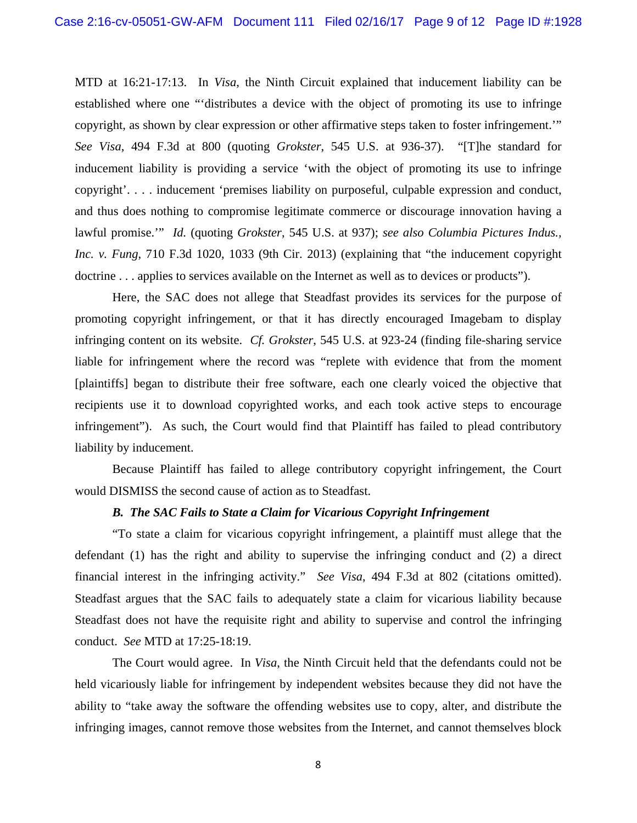MTD at 16:21-17:13. In *Visa*, the Ninth Circuit explained that inducement liability can be established where one "'distributes a device with the object of promoting its use to infringe copyright, as shown by clear expression or other affirmative steps taken to foster infringement.'" *See Visa*, 494 F.3d at 800 (quoting *Grokster*, 545 U.S. at 936-37). "[T]he standard for inducement liability is providing a service 'with the object of promoting its use to infringe copyright'. . . . inducement 'premises liability on purposeful, culpable expression and conduct, and thus does nothing to compromise legitimate commerce or discourage innovation having a lawful promise.'" *Id.* (quoting *Grokster*, 545 U.S. at 937); *see also Columbia Pictures Indus., Inc. v. Fung*, 710 F.3d 1020, 1033 (9th Cir. 2013) (explaining that "the inducement copyright doctrine . . . applies to services available on the Internet as well as to devices or products").

 Here, the SAC does not allege that Steadfast provides its services for the purpose of promoting copyright infringement, or that it has directly encouraged Imagebam to display infringing content on its website. *Cf. Grokster*, 545 U.S. at 923-24 (finding file-sharing service liable for infringement where the record was "replete with evidence that from the moment [plaintiffs] began to distribute their free software, each one clearly voiced the objective that recipients use it to download copyrighted works, and each took active steps to encourage infringement"). As such, the Court would find that Plaintiff has failed to plead contributory liability by inducement.

 Because Plaintiff has failed to allege contributory copyright infringement, the Court would DISMISS the second cause of action as to Steadfast.

### *B. The SAC Fails to State a Claim for Vicarious Copyright Infringement*

"To state a claim for vicarious copyright infringement, a plaintiff must allege that the defendant (1) has the right and ability to supervise the infringing conduct and (2) a direct financial interest in the infringing activity." *See Visa*, 494 F.3d at 802 (citations omitted). Steadfast argues that the SAC fails to adequately state a claim for vicarious liability because Steadfast does not have the requisite right and ability to supervise and control the infringing conduct. *See* MTD at 17:25-18:19.

The Court would agree. In *Visa*, the Ninth Circuit held that the defendants could not be held vicariously liable for infringement by independent websites because they did not have the ability to "take away the software the offending websites use to copy, alter, and distribute the infringing images, cannot remove those websites from the Internet, and cannot themselves block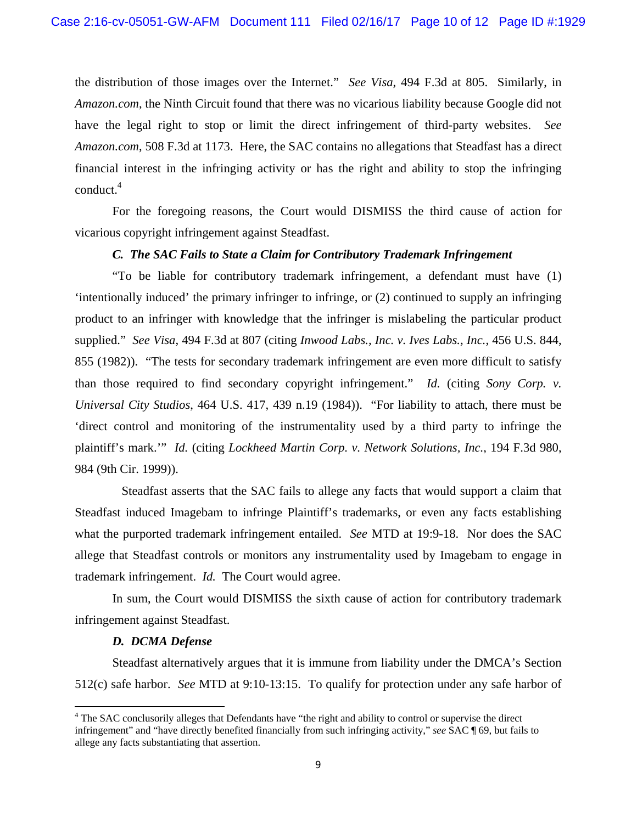the distribution of those images over the Internet." *See Visa*, 494 F.3d at 805. Similarly, in *Amazon.com*, the Ninth Circuit found that there was no vicarious liability because Google did not have the legal right to stop or limit the direct infringement of third-party websites. *See Amazon.com*, 508 F.3d at 1173. Here, the SAC contains no allegations that Steadfast has a direct financial interest in the infringing activity or has the right and ability to stop the infringing conduct.4

For the foregoing reasons, the Court would DISMISS the third cause of action for vicarious copyright infringement against Steadfast.

# *C. The SAC Fails to State a Claim for Contributory Trademark Infringement*

"To be liable for contributory trademark infringement, a defendant must have (1) 'intentionally induced' the primary infringer to infringe, or (2) continued to supply an infringing product to an infringer with knowledge that the infringer is mislabeling the particular product supplied." *See Visa*, 494 F.3d at 807 (citing *Inwood Labs., Inc. v. Ives Labs., Inc.*, 456 U.S. 844, 855 (1982)). "The tests for secondary trademark infringement are even more difficult to satisfy than those required to find secondary copyright infringement." *Id.* (citing *Sony Corp. v. Universal City Studios*, 464 U.S. 417, 439 n.19 (1984)). "For liability to attach, there must be 'direct control and monitoring of the instrumentality used by a third party to infringe the plaintiff's mark.'" *Id.* (citing *Lockheed Martin Corp. v. Network Solutions, Inc.*, 194 F.3d 980, 984 (9th Cir. 1999)).

 Steadfast asserts that the SAC fails to allege any facts that would support a claim that Steadfast induced Imagebam to infringe Plaintiff's trademarks, or even any facts establishing what the purported trademark infringement entailed. *See* MTD at 19:9-18. Nor does the SAC allege that Steadfast controls or monitors any instrumentality used by Imagebam to engage in trademark infringement. *Id.* The Court would agree.

In sum, the Court would DISMISS the sixth cause of action for contributory trademark infringement against Steadfast.

#### *D. DCMA Defense*

Steadfast alternatively argues that it is immune from liability under the DMCA's Section 512(c) safe harbor. *See* MTD at 9:10-13:15. To qualify for protection under any safe harbor of

<sup>&</sup>lt;sup>4</sup> The SAC conclusorily alleges that Defendants have "the right and ability to control or supervise the direct infringement" and "have directly benefited financially from such infringing activity," *see* SAC ¶ 69, but fails to allege any facts substantiating that assertion.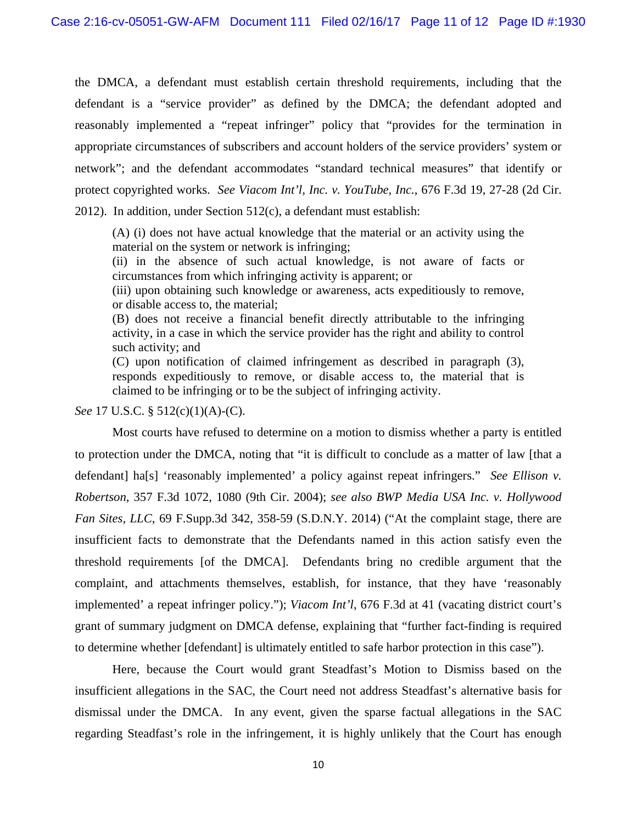the DMCA, a defendant must establish certain threshold requirements, including that the defendant is a "service provider" as defined by the DMCA; the defendant adopted and reasonably implemented a "repeat infringer" policy that "provides for the termination in appropriate circumstances of subscribers and account holders of the service providers' system or network"; and the defendant accommodates "standard technical measures" that identify or protect copyrighted works. *See Viacom Int'l, Inc. v. YouTube, Inc.*, 676 F.3d 19, 27-28 (2d Cir.

2012). In addition, under Section 512(c), a defendant must establish:

(A) (i) does not have actual knowledge that the material or an activity using the material on the system or network is infringing;

(ii) in the absence of such actual knowledge, is not aware of facts or circumstances from which infringing activity is apparent; or

(iii) upon obtaining such knowledge or awareness, acts expeditiously to remove, or disable access to, the material;

(B) does not receive a financial benefit directly attributable to the infringing activity, in a case in which the service provider has the right and ability to control such activity; and

(C) upon notification of claimed infringement as described in paragraph (3), responds expeditiously to remove, or disable access to, the material that is claimed to be infringing or to be the subject of infringing activity.

### *See* 17 U.S.C. § 512(c)(1)(A)-(C).

 Most courts have refused to determine on a motion to dismiss whether a party is entitled to protection under the DMCA, noting that "it is difficult to conclude as a matter of law [that a defendant] ha[s] 'reasonably implemented' a policy against repeat infringers." *See Ellison v. Robertson*, 357 F.3d 1072, 1080 (9th Cir. 2004); *see also BWP Media USA Inc. v. Hollywood Fan Sites, LLC*, 69 F.Supp.3d 342, 358-59 (S.D.N.Y. 2014) ("At the complaint stage, there are insufficient facts to demonstrate that the Defendants named in this action satisfy even the threshold requirements [of the DMCA]. Defendants bring no credible argument that the complaint, and attachments themselves, establish, for instance, that they have 'reasonably implemented' a repeat infringer policy."); *Viacom Int'l*, 676 F.3d at 41 (vacating district court's grant of summary judgment on DMCA defense, explaining that "further fact-finding is required to determine whether [defendant] is ultimately entitled to safe harbor protection in this case").

 Here, because the Court would grant Steadfast's Motion to Dismiss based on the insufficient allegations in the SAC, the Court need not address Steadfast's alternative basis for dismissal under the DMCA. In any event, given the sparse factual allegations in the SAC regarding Steadfast's role in the infringement, it is highly unlikely that the Court has enough